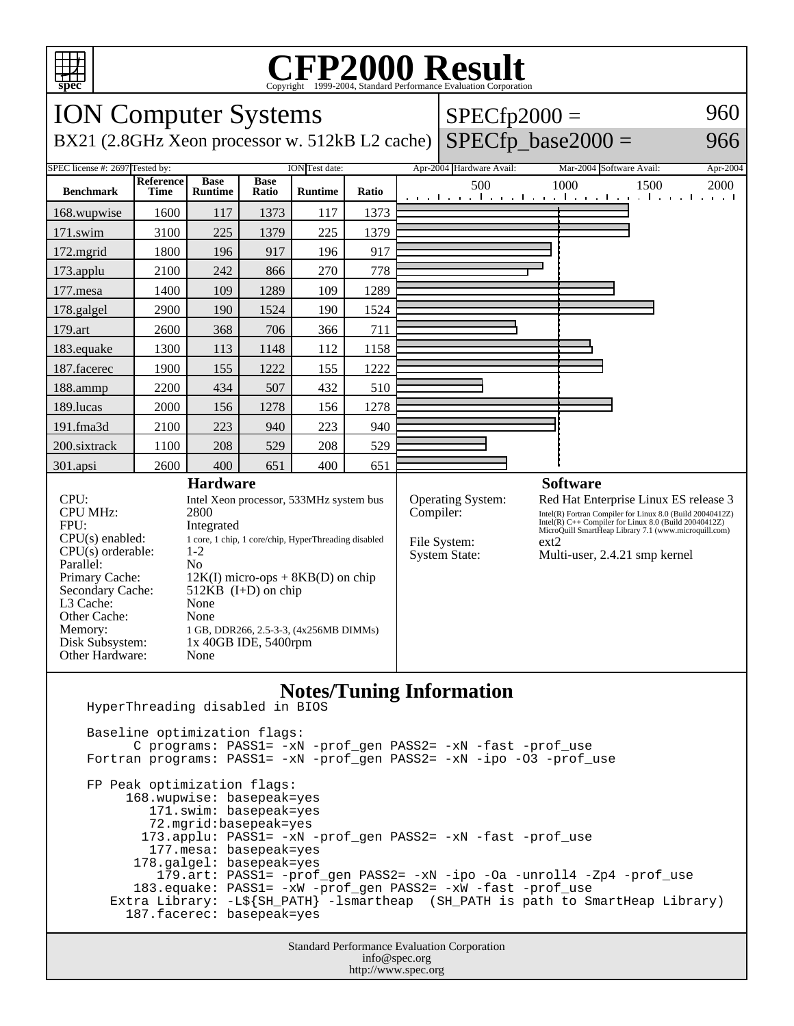

## Copyright ©1999-2004, Standard Performance Evaluation Corporation

| 5.5<br>Copyright @1999-2004, Dianuaru I criormance Evanuation Corporation                                                                                                                                                                                                                                                                                                                                                                                                                                                                        |                          |                               |                      |                |                                                                                                                                                                                                                                                                                                                                                              |  |                          |                          |                                                                          |
|--------------------------------------------------------------------------------------------------------------------------------------------------------------------------------------------------------------------------------------------------------------------------------------------------------------------------------------------------------------------------------------------------------------------------------------------------------------------------------------------------------------------------------------------------|--------------------------|-------------------------------|----------------------|----------------|--------------------------------------------------------------------------------------------------------------------------------------------------------------------------------------------------------------------------------------------------------------------------------------------------------------------------------------------------------------|--|--------------------------|--------------------------|--------------------------------------------------------------------------|
| <b>ION Computer Systems</b><br>960<br>$SPECfp2000 =$                                                                                                                                                                                                                                                                                                                                                                                                                                                                                             |                          |                               |                      |                |                                                                                                                                                                                                                                                                                                                                                              |  |                          |                          |                                                                          |
| BX21 (2.8GHz Xeon processor w. 512kB L2 cache)                                                                                                                                                                                                                                                                                                                                                                                                                                                                                                   |                          |                               |                      |                |                                                                                                                                                                                                                                                                                                                                                              |  |                          | $SPECfp\_base2000 =$     | 966                                                                      |
| SPEC license #: 2697 Tested by:<br>ION Test date:                                                                                                                                                                                                                                                                                                                                                                                                                                                                                                |                          |                               |                      |                |                                                                                                                                                                                                                                                                                                                                                              |  | Apr-2004 Hardware Avail: | Mar-2004 Software Avail: | Apr-2004                                                                 |
| <b>Benchmark</b>                                                                                                                                                                                                                                                                                                                                                                                                                                                                                                                                 | <b>Reference</b><br>Time | <b>Base</b><br><b>Runtime</b> | <b>Base</b><br>Ratio | <b>Runtime</b> | Ratio                                                                                                                                                                                                                                                                                                                                                        |  | 500                      | 1000                     | 1500<br>2000<br>التعبيبا ويعتار ويعتاره وبالتعبير التواصل والتعبير التعب |
| 168.wupwise                                                                                                                                                                                                                                                                                                                                                                                                                                                                                                                                      | 1600                     | 117                           | 1373                 | 117            | 1373                                                                                                                                                                                                                                                                                                                                                         |  |                          |                          |                                                                          |
| 171.swim                                                                                                                                                                                                                                                                                                                                                                                                                                                                                                                                         | 3100                     | 225                           | 1379                 | 225            | 1379                                                                                                                                                                                                                                                                                                                                                         |  |                          |                          |                                                                          |
| $172$ .mgrid                                                                                                                                                                                                                                                                                                                                                                                                                                                                                                                                     | 1800                     | 196                           | 917                  | 196            | 917                                                                                                                                                                                                                                                                                                                                                          |  |                          |                          |                                                                          |
| 173.applu                                                                                                                                                                                                                                                                                                                                                                                                                                                                                                                                        | 2100                     | 242                           | 866                  | 270            | 778                                                                                                                                                                                                                                                                                                                                                          |  |                          |                          |                                                                          |
| 177.mesa                                                                                                                                                                                                                                                                                                                                                                                                                                                                                                                                         | 1400                     | 109                           | 1289                 | 109            | 1289                                                                                                                                                                                                                                                                                                                                                         |  |                          |                          |                                                                          |
| 178.galgel                                                                                                                                                                                                                                                                                                                                                                                                                                                                                                                                       | 2900                     | 190                           | 1524                 | 190            | 1524                                                                                                                                                                                                                                                                                                                                                         |  |                          |                          |                                                                          |
| 179.art                                                                                                                                                                                                                                                                                                                                                                                                                                                                                                                                          | 2600                     | 368                           | 706                  | 366            | 711                                                                                                                                                                                                                                                                                                                                                          |  |                          |                          |                                                                          |
| 183.equake                                                                                                                                                                                                                                                                                                                                                                                                                                                                                                                                       | 1300                     | 113                           | 1148                 | 112            | 1158                                                                                                                                                                                                                                                                                                                                                         |  |                          |                          |                                                                          |
| 187.facerec                                                                                                                                                                                                                                                                                                                                                                                                                                                                                                                                      | 1900                     | 155                           | 1222                 | 155            | 1222                                                                                                                                                                                                                                                                                                                                                         |  |                          |                          |                                                                          |
| 188.ammp                                                                                                                                                                                                                                                                                                                                                                                                                                                                                                                                         | 2200                     | 434                           | 507                  | 432            | 510                                                                                                                                                                                                                                                                                                                                                          |  |                          |                          |                                                                          |
| 189.lucas                                                                                                                                                                                                                                                                                                                                                                                                                                                                                                                                        | 2000                     | 156                           | 1278                 | 156            | 1278                                                                                                                                                                                                                                                                                                                                                         |  |                          |                          |                                                                          |
| 191.fma3d                                                                                                                                                                                                                                                                                                                                                                                                                                                                                                                                        | 2100                     | 223                           | 940                  | 223            | 940                                                                                                                                                                                                                                                                                                                                                          |  |                          |                          |                                                                          |
| 200.sixtrack                                                                                                                                                                                                                                                                                                                                                                                                                                                                                                                                     | 1100                     | 208                           | 529                  | 208            | 529                                                                                                                                                                                                                                                                                                                                                          |  |                          |                          |                                                                          |
| 301.apsi                                                                                                                                                                                                                                                                                                                                                                                                                                                                                                                                         | 2600                     | 400                           | 651                  | 400            | 651                                                                                                                                                                                                                                                                                                                                                          |  |                          |                          |                                                                          |
| <b>Hardware</b><br>CPU:<br>Intel Xeon processor, 533MHz system bus<br><b>CPU MHz:</b><br>2800<br>FPU:<br>Integrated<br>CPU(s) enabled:<br>1 core, 1 chip, 1 core/chip, HyperThreading disabled<br>$CPU(s)$ orderable:<br>$1 - 2$<br>Parallel:<br>N <sub>0</sub><br>Primary Cache:<br>$12K(I)$ micro-ops + 8KB(D) on chip<br>Secondary Cache:<br>512 $KB$ (I+D) on chip<br>L3 Cache:<br>None<br>Other Cache:<br>None<br>Memory:<br>1 GB, DDR266, 2.5-3-3, (4x256MB DIMMs)<br>Disk Subsystem:<br>$1x$ 40GB IDE, 5400rpm<br>Other Hardware:<br>None |                          |                               |                      |                | <b>Software</b><br>Operating System:<br>Red Hat Enterprise Linux ES release 3<br>Compiler:<br>Intel(R) Fortran Compiler for Linux 8.0 (Build 20040412Z)<br>Intel(R) $C++$ Compiler for Linux 8.0 (Build 20040412Z)<br>MicroQuill SmartHeap Library 7.1 (www.microquill.com)<br>File System:<br>ext2<br><b>System State:</b><br>Multi-user, 2.4.21 smp kernel |  |                          |                          |                                                                          |
| <b>Notes/Tuning Information</b><br>HyperThreading disabled in BIOS<br>Baseline optimization flags:<br>C programs: PASS1= -xN -prof_gen PASS2= -xN -fast -prof_use<br>Fortran programs: PASS1= -xN -prof_gen PASS2= -xN -ipo -03 -prof_use<br>FP Peak optimization flags:<br>168.wupwise: basepeak=yes                                                                                                                                                                                                                                            |                          |                               |                      |                |                                                                                                                                                                                                                                                                                                                                                              |  |                          |                          |                                                                          |

 171.swim: basepeak=yes 72.mgrid:basepeak=yes

173.applu: PASS1= -xN -prof\_gen PASS2= -xN -fast -prof\_use

177.mesa: basepeak=yes

178.galgel: basepeak=yes

 179.art: PASS1= -prof\_gen PASS2= -xN -ipo -Oa -unroll4 -Zp4 -prof\_use 183.equake: PASS1= -xW -prof\_gen PASS2= -xW -fast -prof\_use

```
 Extra Library: -L${SH_PATH} -lsmartheap (SH_PATH is path to SmartHeap Library)
187.facerec: basepeak=yes
```
Standard Performance Evaluation Corporation info@spec.org http://www.spec.org